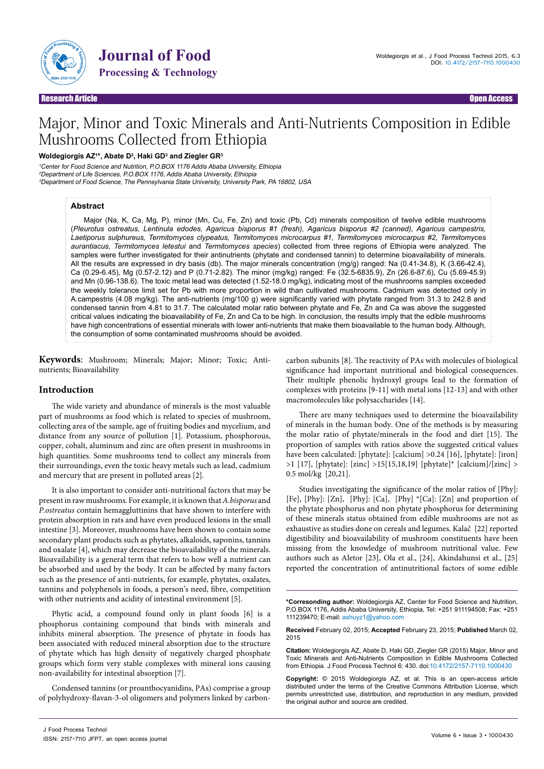

Journal of Food

# Major, Minor and Toxic Minerals and Anti-Nutrients Composition in Edible Mushrooms Collected from Ethiopia

### **Woldegiorgis AZ1 \*, Abate D2 , Haki GD3 and Ziegler GR3**

<sup>1</sup>Center for Food Science and Nutrition, P.O.BOX 1176 Addis Ababa University, Ethiopia <sup>2</sup>Department of Life Sciences, P.O.BOX 1176, Addis Ababa University, Ethiopia <sup>3</sup>Department of Food Science, The Pennsylvania State University, University Park, PA 16802, USA

## **Abstract**

Major (Na, K, Ca, Mg, P), minor (Mn, Cu, Fe, Zn) and toxic (Pb, Cd) minerals composition of twelve edible mushrooms (*Pleurotus ostreatus, Lentinula edodes, Agaricus bisporus #1 (fresh), Agaricus bisporus #2 (canned), Agaricus campestris, Laetiporus sulphureus, Termitomyces clypeatus, Termitomyces microcarpus #1, Termitomyces microcarpus #2, Termitomyces aurantiacus, Termitomyces letestui* and *Termitomyces species*) collected from three regions of Ethiopia were analyzed. The samples were further investigated for their antinutrients (phytate and condensed tannin) to determine bioavailability of minerals. All the results are expressed in dry basis (db). The major minerals concentration (mg/g) ranged: Na (0.41-34.8), K (3.66-42.4), Ca (0.29-6.45), Mg (0.57-2.12) and P (0.71-2.82). The minor (mg/kg) ranged: Fe (32.5-6835.9), Zn (26.6-87.6), Cu (5.69-45.9) and Mn (0.96-138.6). The toxic metal lead was detected (1.52-18.0 mg/kg), indicating most of the mushrooms samples exceeded the weekly tolerance limit set for Pb with more proportion in wild than cultivated mushrooms. Cadmium was detected only in A.campestris (4.08 mg/kg). The anti-nutrients (mg/100 g) were significantly varied with phytate ranged from 31.3 to 242.8 and condensed tannin from 4.81 to 31.7. The calculated molar ratio between phytate and Fe, Zn and Ca was above the suggested critical values indicating the bioavailability of Fe, Zn and Ca to be high. In conclusion, the results imply that the edible mushrooms have high concentrations of essential minerals with lower anti-nutrients that make them bioavailable to the human body. Although, the consumption of some contaminated mushrooms should be avoided.

**Keywords**: Mushroom; Minerals; Major; Minor; Toxic; Antinutrients; Bioavailability

# **Introduction**

The wide variety and abundance of minerals is the most valuable part of mushrooms as food which is related to species of mushroom, collecting area of the sample, age of fruiting bodies and mycelium, and distance from any source of pollution [1]. Potassium, phosphorous, copper, cobalt, aluminum and zinc are often present in mushrooms in high quantities. Some mushrooms tend to collect any minerals from their surroundings, even the toxic heavy metals such as lead, cadmium and mercury that are present in polluted areas [2].

It is also important to consider anti-nutritional factors that may be present in raw mushrooms. For example, it is known that *A.bisporus* and *P.ostreatus* contain hemaggluttinins that have shown to interfere with protein absorption in rats and have even produced lesions in the small intestine [3]. Moreover, mushrooms have been shown to contain some secondary plant products such as phytates, alkaloids, saponins, tannins and oxalate [4], which may decrease the bioavailability of the minerals. Bioavailability is a general term that refers to how well a nutrient can be absorbed and used by the body. It can be affected by many factors such as the presence of anti-nutrients, for example, phytates, oxalates, tannins and polyphenols in foods, a person's need, fibre, competition with other nutrients and acidity of intestinal environment [5].

Phytic acid, a compound found only in plant foods [6] is a phosphorus containing compound that binds with minerals and inhibits mineral absorption. The presence of phytate in foods has been associated with reduced mineral absorption due to the structure of phytate which has high density of negatively charged phosphate groups which form very stable complexes with mineral ions causing non-availability for intestinal absorption [7].

Condensed tannins (or proanthocyanidins, PAs) comprise a group of polyhydroxy-flavan-3-ol oligomers and polymers linked by carboncarbon subunits [8]. The reactivity of PAs with molecules of biological significance had important nutritional and biological consequences. Their multiple phenolic hydroxyl groups lead to the formation of complexes with proteins [9-11] with metal ions [12-13] and with other macromolecules like polysaccharides [14].

There are many techniques used to determine the bioavailability of minerals in the human body. One of the methods is by measuring the molar ratio of phytate/minerals in the food and diet [15]. The proportion of samples with ratios above the suggested critical values have been calculated: [phytate]: [calcium] >0.24 [16], [phytate]: [iron] >1 [17], [phytate]: [zinc] >15[15,18,19] [phytate]\* [calcium]/[zinc] > 0.5 mol/kg [20,21].

Studies investigating the significance of the molar ratios of [Phy]: [Fe], [Phy]: [Zn], [Phy]: [Ca], [Phy] \*[Ca]: [Zn] and proportion of the phytate phosphorus and non phytate phosphorus for determining of these minerals status obtained from edible mushrooms are not as exhaustive as studies done on cereals and legumes. Kalač [22] reported digestibility and bioavailability of mushroom constituents have been missing from the knowledge of mushroom nutritional value. Few authors such as Aletor [23], Ola et al., [24], Akindahunsi et al., [25] reported the concentration of antinutritional factors of some edible

**\*Corresonding author:** Woldegiorgis AZ, Center for Food Science and Nutrition, P.O.BOX 1176, Addis Ababa University, Ethiopia, Tel: +251 911194508; Fax: +251 111239470; E-mail: ashuyz1@yahoo.com

**Received** February 02, 2015; **Accepted** February 23, 2015; **Published** March 02, 2015

**Citation:** Woldegiorgis AZ, Abate D, Haki GD, Ziegler GR (2015) Major, Minor and Toxic Minerals and Anti-Nutrients Composition in Edible Mushrooms Collected from Ethiopia. J Food Process Technol 6: 430. doi:10.4172/2157-7110.1000430

**Copyright:** © 2015 Woldegiorgis AZ, et al. This is an open-access article distributed under the terms of the Creative Commons Attribution License, which permits unrestricted use, distribution, and reproduction in any medium, provided the original author and source are credited.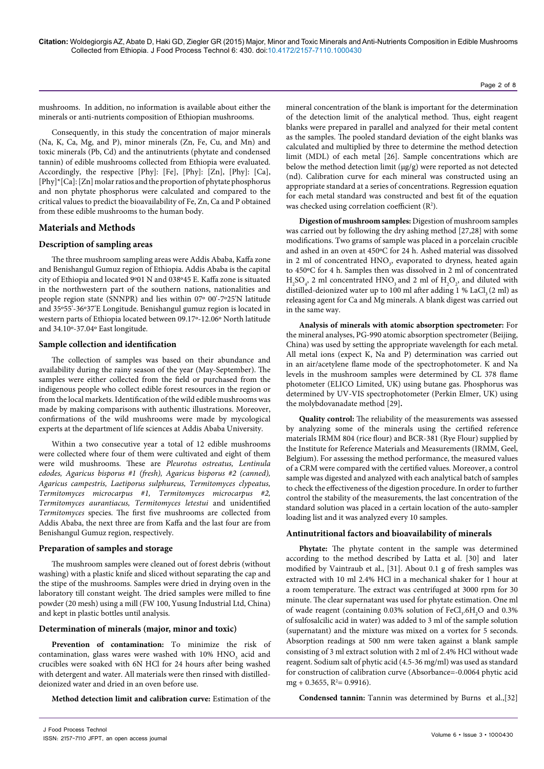mushrooms. In addition, no information is available about either the minerals or anti-nutrients composition of Ethiopian mushrooms.

Consequently, in this study the concentration of major minerals (Na, K, Ca, Mg, and P), minor minerals (Zn, Fe, Cu, and Mn) and toxic minerals (Pb, Cd) and the antinutrients (phytate and condensed tannin) of edible mushrooms collected from Ethiopia were evaluated. Accordingly, the respective [Phy]: [Fe], [Phy]: [Zn], [Phy]: [Ca], [Phy]\*[Ca]: [Zn] molar ratios and the proportion of phytate phosphorus and non phytate phosphorus were calculated and compared to the critical values to predict the bioavailability of Fe, Zn, Ca and P obtained from these edible mushrooms to the human body.

# **Materials and Methods**

# **Description of sampling areas**

The three mushroom sampling areas were Addis Ababa, Kaffa zone and Benishangul Gumuz region of Ethiopia. Addis Ababa is the capital city of Ethiopia and located 9º01 N and 038º45 E. Kaffa zone is situated in the northwestern part of the southern nations, nationalities and people region state (SNNPR) and lies within 07º 00'-7º25'N latitude and 35º55'-36º37'E Longitude. Benishangul gumuz region is located in western parts of Ethiopia located between 09.17º-12.06º North latitude and 34.10º-37.04º East longitude.

# **Sample collection and identification**

The collection of samples was based on their abundance and availability during the rainy season of the year (May-September). The samples were either collected from the field or purchased from the indigenous people who collect edible forest resources in the region or from the local markets. Identification of the wild edible mushrooms was made by making comparisons with authentic illustrations. Moreover, confirmations of the wild mushrooms were made by mycological experts at the department of life sciences at Addis Ababa University.

Within a two consecutive year a total of 12 edible mushrooms were collected where four of them were cultivated and eight of them were wild mushrooms. These are *Pleurotus ostreatus, Lentinula edodes, Agaricus bisporus #1 (fresh), Agaricus bisporus #2 (canned), Agaricus campestris, Laetiporus sulphureus, Termitomyces clypeatus, Termitomyces microcarpus #1, Termitomyces microcarpus #2, Termitomyces aurantiacus, Termitomyces letestui* and unidentified *Termitomyces* species. The first five mushrooms are collected from Addis Ababa, the next three are from Kaffa and the last four are from Benishangul Gumuz region, respectively.

# **Preparation of samples and storage**

The mushroom samples were cleaned out of forest debris (without washing) with a plastic knife and sliced without separating the cap and the stipe of the mushrooms. Samples were dried in drying oven in the laboratory till constant weight. The dried samples were milled to fine powder (20 mesh) using a mill (FW 100, Yusung Industrial Ltd, China) and kept in plastic bottles until analysis.

# **Determination of minerals (major, minor and toxic)**

**Prevention of contamination:** To minimize the risk of contamination, glass wares were washed with  $10\%$   $\mathrm{HNO}_{3}$  acid and crucibles were soaked with 6N HCl for 24 hours after being washed with detergent and water. All materials were then rinsed with distilleddeionized water and dried in an oven before use.

**Method detection limit and calibration curve:** Estimation of the

mineral concentration of the blank is important for the determination of the detection limit of the analytical method. Thus, eight reagent blanks were prepared in parallel and analyzed for their metal content as the samples. The pooled standard deviation of the eight blanks was calculated and multiplied by three to determine the method detection limit (MDL) of each metal [26]. Sample concentrations which are below the method detection limit  $(\mu g/g)$  were reported as not detected (nd). Calibration curve for each mineral was constructed using an appropriate standard at a series of concentrations. Regression equation for each metal standard was constructed and best fit of the equation was checked using correlation coefficient  $(R^2)$ .

**Digestion of mushroom samples:** Digestion of mushroom samples was carried out by following the dry ashing method [27,28] with some modifications. Two grams of sample was placed in a porcelain crucible and ashed in an oven at 450ºC for 24 h. Ashed material was dissolved in 2 ml of concentrated  $HNO<sub>3</sub>$ , evaporated to dryness, heated again to 450ºC for 4 h. Samples then was dissolved in 2 ml of concentrated  $H_2SO_4$ , 2 ml concentrated  $HNO_3$  and 2 ml of  $H_2O_2$ , and diluted with distilled-deionized water up to 100 ml after adding 1 % LaCl<sub>3</sub> (2 ml) as releasing agent for Ca and Mg minerals. A blank digest was carried out in the same way.

**Analysis of minerals with atomic absorption spectrometer:** For the mineral analyses, PG-990 atomic absorption spectrometer (Beijing, China) was used by setting the appropriate wavelength for each metal. All metal ions (expect K, Na and P) determination was carried out in an air/acetylene flame mode of the spectrophotometer. K and Na levels in the mushroom samples were determined by CL 378 flame photometer (ELICO Limited, UK) using butane gas. Phosphorus was determined by UV-VIS spectrophotometer (Perkin Elmer, UK) using the molybdovanadate method [29]**.**

**Quality control:** The reliability of the measurements was assessed by analyzing some of the minerals using the certified reference materials IRMM 804 (rice flour) and BCR-381 (Rye Flour) supplied by the Institute for Reference Materials and Measurements (IRMM, Geel, Belgium). For assessing the method performance, the measured values of a CRM were compared with the certified values. Moreover, a control sample was digested and analyzed with each analytical batch of samples to check the effectiveness of the digestion procedure. In order to further control the stability of the measurements, the last concentration of the standard solution was placed in a certain location of the auto-sampler loading list and it was analyzed every 10 samples.

# **Antinutritional factors and bioavailability of minerals**

**Phytate:** The phytate content in the sample was determined according to the method described by Latta et al. [30] and later modified by Vaintraub et al., [31]. About 0.1 g of fresh samples was extracted with 10 ml 2.4% HCl in a mechanical shaker for 1 hour at a room temperature. The extract was centrifuged at 3000 rpm for 30 minute. The clear supernatant was used for phytate estimation. One ml of wade reagent (containing  $0.03\%$  solution of  $FeCl<sub>3</sub>$ .6H<sub>2</sub>O and  $0.3\%$ of sulfosalcilic acid in water) was added to 3 ml of the sample solution (supernatant) and the mixture was mixed on a vortex for 5 seconds. Absorption readings at 500 nm were taken against a blank sample consisting of 3 ml extract solution with 2 ml of 2.4% HCl without wade reagent. Sodium salt of phytic acid (4.5-36 mg/ml) was used as standard for construction of calibration curve (Absorbance=-0.0064 phytic acid  $mg + 0.3655$ ,  $R^2 = 0.9916$ ).

**Condensed tannin:** Tannin was determined by Burns et al.,[32]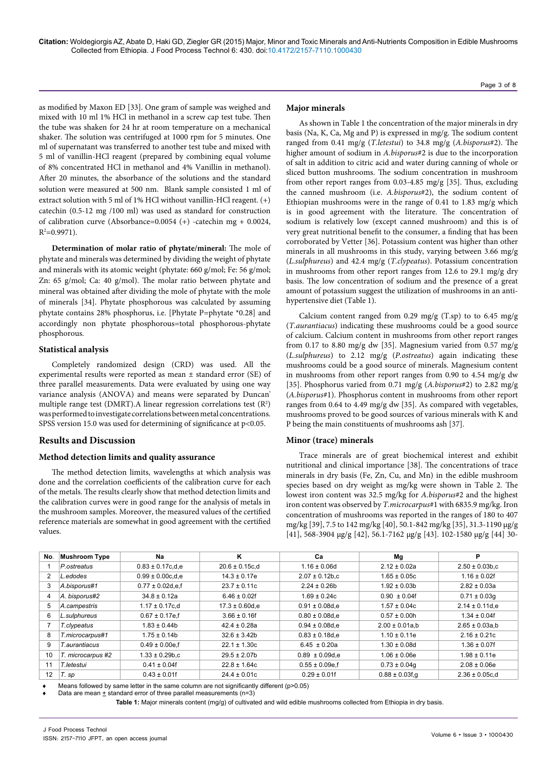Page 3 of 8

as modified by Maxon ED [33]. One gram of sample was weighed and mixed with 10 ml 1% HCl in methanol in a screw cap test tube. Then the tube was shaken for 24 hr at room temperature on a mechanical shaker. The solution was centrifuged at 1000 rpm for 5 minutes. One ml of supernatant was transferred to another test tube and mixed with 5 ml of vanillin-HCl reagent (prepared by combining equal volume of 8% concentrated HCl in methanol and 4% Vanillin in methanol). After 20 minutes, the absorbance of the solutions and the standard solution were measured at 500 nm. Blank sample consisted 1 ml of extract solution with 5 ml of 1% HCl without vanillin-HCl reagent. (+) catechin (0.5-12 mg /100 ml) was used as standard for construction of calibration curve (Absorbance=0.0054 (+) -catechin mg + 0.0024,  $R^2 = 0.9971$ .

**Determination of molar ratio of phytate/mineral:** The mole of phytate and minerals was determined by dividing the weight of phytate and minerals with its atomic weight (phytate: 660 g/mol; Fe: 56 g/mol; Zn: 65 g/mol; Ca: 40 g/mol). The molar ratio between phytate and mineral was obtained after dividing the mole of phytate with the mole of minerals [34]. Phytate phosphorous was calculated by assuming phytate contains 28% phosphorus, i.e. [Phytate P=phytate \*0.28] and accordingly non phytate phosphorous=total phosphorous-phytate phosphorous.

## **Statistical analysis**

Completely randomized design (CRD) was used. All the experimental results were reported as mean ± standard error (SE) of three parallel measurements. Data were evaluated by using one way variance analysis (ANOVA) and means were separated by Duncan' multiple range test (DMRT). A linear regression correlations test  $(R^2)$ was performed to investigate correlations between metal concentrations. SPSS version 15.0 was used for determining of significance at  $p<0.05$ .

# **Results and Discussion**

# **Method detection limits and quality assurance**

The method detection limits, wavelengths at which analysis was done and the correlation coefficients of the calibration curve for each of the metals. The results clearly show that method detection limits and the calibration curves were in good range for the analysis of metals in the mushroom samples. Moreover, the measured values of the certified reference materials are somewhat in good agreement with the certified values.

### **Major minerals**

As shown in Table 1 the concentration of the major minerals in dry basis (Na, K, Ca, Mg and P) is expressed in mg/g. The sodium content ranged from 0.41 mg/g (*T.letestui*) to 34.8 mg/g (*A.bisporus*#2). The higher amount of sodium in *A.bisporus*#2 is due to the incorporation of salt in addition to citric acid and water during canning of whole or sliced button mushrooms. The sodium concentration in mushroom from other report ranges from 0.03-4.85 mg/g [35]. Thus, excluding the canned mushroom (i.e. *A.bisporus*#2), the sodium content of Ethiopian mushrooms were in the range of 0.41 to 1.83 mg/g which is in good agreement with the literature. The concentration of sodium is relatively low (except canned mushroom) and this is of very great nutritional benefit to the consumer, a finding that has been corroborated by Vetter [36]. Potassium content was higher than other minerals in all mushrooms in this study, varying between 3.66 mg/g (*L.sulphureus*) and 42.4 mg/g (*T.clypeatus*). Potassium concentration in mushrooms from other report ranges from 12.6 to 29.1 mg/g dry basis. The low concentration of sodium and the presence of a great amount of potassium suggest the utilization of mushrooms in an antihypertensive diet (Table 1).

Calcium content ranged from 0.29 mg/g  $(T(sp)$  to to 6.45 mg/g (*T.aurantiacus*) indicating these mushrooms could be a good source of calcium. Calcium content in mushrooms from other report ranges from 0.17 to 8.80 mg/g dw [35]. Magnesium varied from 0.57 mg/g (*L.sulphureus*) to 2.12 mg/g (*P.ostreatus*) again indicating these mushrooms could be a good source of minerals. Magnesium content in mushrooms from other report ranges from 0.90 to 4.54 mg/g dw [35]. Phosphorus varied from 0.71 mg/g (*A.bisporus*#2) to 2.82 mg/g (*A.bisporus*#1). Phosphorus content in mushrooms from other report ranges from 0.64 to 4.49 mg/g dw [35]. As compared with vegetables, mushrooms proved to be good sources of various minerals with K and P being the main constituents of mushrooms ash [37].

# **Minor (trace) minerals**

Trace minerals are of great biochemical interest and exhibit nutritional and clinical importance [38]. The concentrations of trace minerals in dry basis (Fe, Zn, Cu, and Mn) in the edible mushroom species based on dry weight as mg/kg were shown in Table 2. The lowest iron content was 32.5 mg/kg for *A.bisporus*#2 and the highest iron content was observed by *T.microcarpus*#1 with 6835.9 mg/kg. Iron concentration of mushrooms was reported in the ranges of 180 to 407 mg/kg [39], 7.5 to 142 mg/kg [40], 50.1-842 mg/kg [35], 31.3-1190 μg/g [41], 568-3904 μg/g [42], 56.1-7162 μg/g [43]. 102-1580 μg/g [44] 30-

| No.            | <b>Mushroom Type</b> | Na                    | ĸ                   | Cа                  | Mg                   | P                   |
|----------------|----------------------|-----------------------|---------------------|---------------------|----------------------|---------------------|
|                | P.ostreatus          | $0.83 \pm 0.17$ c,d,e | $20.6 \pm 0.15$ c,d | $1.16 \pm 0.06d$    | $2.12 \pm 0.02a$     | $2.50 \pm 0.03$ b,c |
| $\overline{2}$ | L.edodes             | $0.99 \pm 0.00$ c.d.e | $14.3 \pm 0.17e$    | $2.07 \pm 0.12$ b.c | $1.65 \pm 0.05c$     | $1.16 \pm 0.02f$    |
| 3              | A.bisporus#1         | $0.77 \pm 0.02$ d.e.f | $23.7 \pm 0.11c$    | $2.24 \pm 0.26$ b   | $1.92 \pm 0.03b$     | $2.82 \pm 0.03a$    |
| 4              | A. bisporus#2        | $34.8 \pm 0.12a$      | $6.46 \pm 0.02f$    | $1.69 \pm 0.24c$    | $0.90 \pm 0.04f$     | $0.71 \pm 0.03q$    |
| 5              | A.campestris         | $1.17 \pm 0.17$ c.d   | $17.3 \pm 0.60$ d.e | $0.91 \pm 0.08$ d.e | $1.57 \pm 0.04c$     | $2.14 \pm 0.11$ d.e |
| 6              | L.sulphureus         | $0.67 \pm 0.17$ e,f   | $3.66 \pm 0.16f$    | $0.80 \pm 0.08$ d.e | $0.57 \pm 0.00h$     | $1.34 \pm 0.04f$    |
|                | T.clypeatus          | $1.83 \pm 0.44$ b     | $42.4 \pm 0.28a$    | $0.94 \pm 0.08$ d.e | $2.00 \pm 0.01a$ , b | $2.65 \pm 0.03a$ ,b |
| 8              | T.microcarpus#1      | $1.75 \pm 0.14$ b     | $32.6 \pm 3.42b$    | $0.83 \pm 0.18$ d.e | $1.10 \pm 0.11e$     | $2.16 \pm 0.21c$    |
| 9              | T.aurantiacus        | $0.49 \pm 0.00$ e,f   | $22.1 \pm 1.30c$    | $6.45 \pm 0.20a$    | $1.30 \pm 0.08$ d    | $1.36 \pm 0.07f$    |
| 10             | T. microcarpus #2    | $1.33 \pm 0.29$ b.c   | $29.5 \pm 2.07$ b   | $0.89 \pm 0.09$ d.e | $1.06 \pm 0.06e$     | $1.98 \pm 0.11e$    |
| 11             | T.letestui           | $0.41 \pm 0.04f$      | $22.8 \pm 1.64c$    | $0.55 \pm 0.09$ e.f | $0.73 \pm 0.04q$     | $2.08 \pm 0.06e$    |
| 12             | T. sp                | $0.43 \pm 0.01f$      | $24.4 \pm 0.01c$    | $0.29 \pm 0.01$ f   | $0.88 \pm 0.03$ f, q | $2.36 \pm 0.05$ c.d |

Means followed by same letter in the same column are not significantly different ( $p > 0.05$ )

Data are mean  $+$  standard error of three parallel measurements (n=3)

**Table 1:** Major minerals content (mg/g) of cultivated and wild edible mushrooms collected from Ethiopia in dry basis.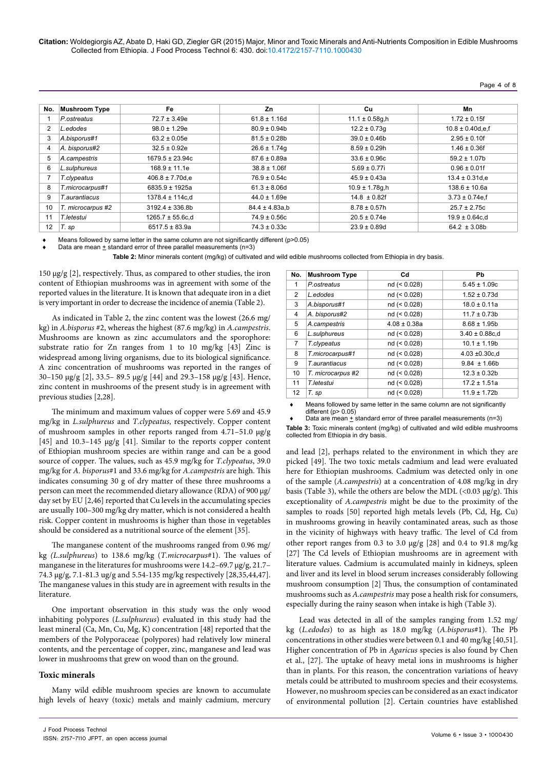**Citation:** Woldegiorgis AZ, Abate D, Haki GD, Ziegler GR (2015) Major, Minor and Toxic Minerals and Anti-Nutrients Composition in Edible Mushrooms Collected from Ethiopia. J Food Process Technol 6: 430. doi:10.4172/2157-7110.1000430

Page 4 of 8

| No. | <b>Mushroom Type</b> | Fe                    | Zn                 | <b>Cu</b>           | Mn                    |
|-----|----------------------|-----------------------|--------------------|---------------------|-----------------------|
|     | P.ostreatus          | $72.7 \pm 3.49e$      | $61.8 \pm 1.16$ d  | $11.1 \pm 0.58$ g,h | $1.72 \pm 0.15$ f     |
| 2   | L.edodes             | $98.0 \pm 1.29e$      | $80.9 \pm 0.94$ b  | $12.2 \pm 0.73q$    | $10.8 \pm 0.40$ d,e,f |
| 3   | A.bisporus#1         | $63.2 \pm 0.05e$      | $81.5 \pm 0.28$ b  | $39.0 \pm 0.46$ b   | $2.95 \pm 0.10$ f     |
| 4   | A. bisporus#2        | $32.5 \pm 0.92e$      | $26.6 \pm 1.74q$   | $8.59 \pm 0.29$ h   | $1.46 \pm 0.36f$      |
| 5   | A.campestris         | $1679.5 \pm 23.94c$   | $87.6 \pm 0.89a$   | $33.6 \pm 0.96c$    | $59.2 \pm 1.07$ b     |
| 6   | L.sulphureus         | $168.9 \pm 11.1e$     | $38.8 \pm 1.06f$   | $5.69 \pm 0.77$ i   | $0.96 \pm 0.01$ f     |
|     | T.clypeatus          | $406.8 \pm 7.70$ d.e  | $76.9 \pm 0.54c$   | $45.9 \pm 0.43a$    | $13.4 \pm 0.31$ d.e   |
| 8   | T.microcarpus#1      | $6835.9 \pm 1925a$    | $61.3 \pm 8.06$ d  | $10.9 \pm 1.78$ g,h | $138.6 \pm 10.6a$     |
| 9   | T.aurantiacus        | 1378.4 ± 114c,d       | $44.0 \pm 1.69e$   | $14.8 \pm 0.82f$    | $3.73 \pm 0.74$ e, f  |
| 10  | T. microcarpus #2    | $3192.4 \pm 336.8b$   | $84.4 \pm 4.83a.b$ | $8.78 \pm 0.57h$    | $25.7 \pm 2.75c$      |
| 11  | T.letestui           | $1265.7 \pm 55.6c$ ,d | $74.9 \pm 0.56c$   | $20.5 \pm 0.74e$    | $19.9 \pm 0.64$ c.d   |
| 12  | T. sp                | $6517.5 \pm 83.9a$    | $74.3 \pm 0.33c$   | $23.9 \pm 0.89$ d   | $64.2 \pm 3.08b$      |

Means followed by same letter in the same column are not significantly different ( $p > 0.05$ )

Data are mean  $+$  standard error of three parallel measurements (n=3)

**Table 2:** Minor minerals content (mg/kg) of cultivated and wild edible mushrooms collected from Ethiopia in dry basis.

150 μg/g [2], respectively. Thus, as compared to other studies, the iron content of Ethiopian mushrooms was in agreement with some of the reported values in the literature. It is known that adequate iron in a diet is very important in order to decrease the incidence of anemia (Table 2).

As indicated in Table 2, the zinc content was the lowest (26.6 mg/ kg) in *A.bisporus* #2, whereas the highest (87.6 mg/kg) in *A.campestris*. Mushrooms are known as zinc accumulators and the sporophore: substrate ratio for Zn ranges from 1 to 10 mg/kg [43] Zinc is widespread among living organisms, due to its biological significance. A zinc concentration of mushrooms was reported in the ranges of 30–150 μg/g [2], 33.5– 89.5 μg/g [44] and 29.3–158 μg/g [43]. Hence, zinc content in mushrooms of the present study is in agreement with previous studies [2,28].

The minimum and maximum values of copper were 5.69 and 45.9 mg/kg in *L.sulphureus* and *T.clypeatus*, respectively. Copper content of mushroom samples in other reports ranged from 4.71–51.0 μg/g [45] and 10.3–145 μg/g [41]. Similar to the reports copper content of Ethiopian mushroom species are within range and can be a good source of copper. The values, such as 45.9 mg/kg for *T.clypeatus*, 39.0 mg/kg for *A. bisporus*#1 and 33.6 mg/kg for *A.campestris* are high. This indicates consuming 30 g of dry matter of these three mushrooms a person can meet the recommended dietary allowance (RDA) of 900 μg/ day set by EU [2,46] reported that Cu levels in the accumulating species are usually 100–300 mg/kg dry matter, which is not considered a health risk. Copper content in mushrooms is higher than those in vegetables should be considered as a nutritional source of the element [35].

The manganese content of the mushrooms ranged from 0.96 mg/ kg *(L.sulphureus*) to 138.6 mg/kg (*T.microcarpus*#1). The values of manganese in the literatures for mushrooms were 14.2–69.7 μg/g, 21.7– 74.3 μg/g, 7.1-81.3 ug/g and 5.54-135 mg/kg respectively [28,35,44,47]. The manganese values in this study are in agreement with results in the literature.

One important observation in this study was the only wood inhabiting polypores (*L.sulphureus*) evaluated in this study had the least mineral (Ca, Mn, Cu, Mg, K) concentration [48] reported that the members of the Polyporaceae (polypores) had relatively low mineral contents, and the percentage of copper, zinc, manganese and lead was lower in mushrooms that grew on wood than on the ground.

#### **Toxic minerals**

Many wild edible mushroom species are known to accumulate high levels of heavy (toxic) metals and mainly cadmium, mercury

| No.            | <b>Mushroom Type</b> | Cd               | Pb                  |
|----------------|----------------------|------------------|---------------------|
| 1              | P.ostreatus          | nd (< 0.028)     | $5.45 \pm 1.09c$    |
| 2              | L.edodes             | nd (< 0.028)     | $1.52 \pm 0.73$ d   |
| 3              | A.bisporus#1         | nd (< 0.028)     | $18.0 \pm 0.11a$    |
| 4              | A. bisporus#2        | $nd (= 0.028)$   | $11.7 \pm 0.73$ b   |
| 5              | A.campestris         | $4.08 \pm 0.38a$ | $8.68 \pm 1.95b$    |
| 6              | L.sulphureus         | nd (< 0.028)     | $3.40 \pm 0.88$ c,d |
| $\overline{7}$ | T.clypeatus          | nd (< 0.028)     | $10.1 \pm 1.19b$    |
| 8              | T.microcarpus#1      | nd (< 0.028)     | $4.03 \pm 0.30$ c,d |
| 9              | T. aurantiacus       | nd (< 0.028)     | $9.84 \pm 1.66b$    |
| 10             | T. microcarpus #2    | nd (< 0.028)     | $12.3 \pm 0.32b$    |
| 11             | T.letestui           | nd (< 0.028)     | $17.2 \pm 1.51a$    |
| 12             | T. sp                | nd (< 0.028)     | $11.9 \pm 1.72b$    |

Means followed by same letter in the same column are not significantly different (p> 0.05) Data are mean  $+$  standard error of three parallel measurements (n=3)

**Table 3:** Toxic minerals content (mg/kg) of cultivated and wild edible mushrooms collected from Ethiopia in dry basis.

and lead [2], perhaps related to the environment in which they are picked [49]. The two toxic metals cadmium and lead were evaluated here for Ethiopian mushrooms. Cadmium was detected only in one of the sample (*A.campestris*) at a concentration of 4.08 mg/kg in dry basis (Table 3), while the others are below the MDL  $\left($ <0.03  $\mu$ g/g). This exceptionality of *A.campestris* might be due to the proximity of the samples to roads [50] reported high metals levels (Pb, Cd, Hg, Cu) in mushrooms growing in heavily contaminated areas, such as those in the vicinity of highways with heavy traffic. The level of Cd from other report ranges from 0.3 to 3.0 μg/g [28] and 0.4 to 91.8 mg/kg [27] The Cd levels of Ethiopian mushrooms are in agreement with literature values. Cadmium is accumulated mainly in kidneys, spleen and liver and its level in blood serum increases considerably following mushroom consumption [2] Thus, the consumption of contaminated mushrooms such as *A.campestris* may pose a health risk for consumers, especially during the rainy season when intake is high (Table 3).

Lead was detected in all of the samples ranging from 1.52 mg/ kg (*L.edodes*) to as high as 18.0 mg/kg (*A.bisporus*#1). The Pb concentrations in other studies were between 0.1 and 40 mg/kg [40,51]. Higher concentration of Pb in *Agaricus* species is also found by Chen et al., [27]. The uptake of heavy metal ions in mushrooms is higher than in plants. For this reason, the concentration variations of heavy metals could be attributed to mushroom species and their ecosystems. However, no mushroom species can be considered as an exact indicator of environmental pollution [2]. Certain countries have established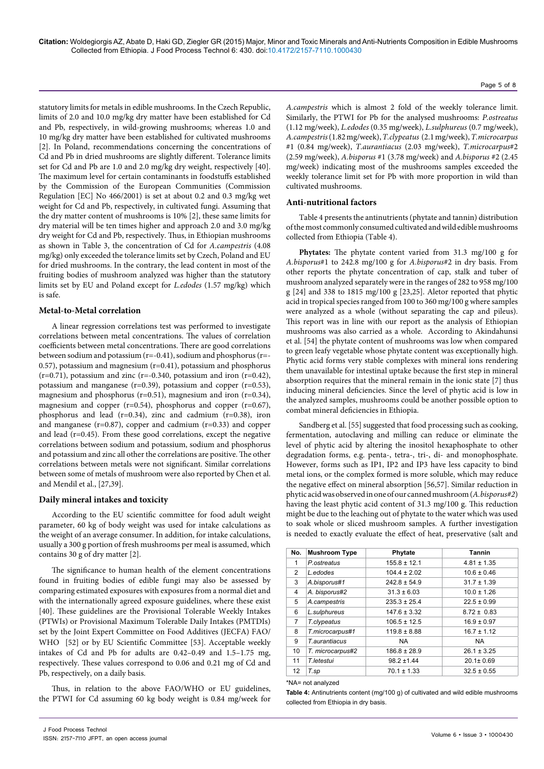statutory limits for metals in edible mushrooms. In the Czech Republic, limits of 2.0 and 10.0 mg/kg dry matter have been established for Cd and Pb, respectively, in wild-growing mushrooms; whereas 1.0 and 10 mg/kg dry matter have been established for cultivated mushrooms [2]. In Poland, recommendations concerning the concentrations of Cd and Pb in dried mushrooms are slightly different. Tolerance limits set for Cd and Pb are 1.0 and 2.0 mg/kg dry weight, respectively [40]. The maximum level for certain contaminants in foodstuffs established by the Commission of the European Communities (Commission Regulation [EC] No 466/2001) is set at about 0.2 and 0.3 mg/kg wet weight for Cd and Pb, respectively, in cultivated fungi. Assuming that the dry matter content of mushrooms is 10% [2], these same limits for dry material will be ten times higher and approach 2.0 and 3.0 mg/kg dry weight for Cd and Pb, respectively. Thus, in Ethiopian mushrooms as shown in Table 3, the concentration of Cd for *A.campestris* (4.08 mg/kg) only exceeded the tolerance limits set by Czech, Poland and EU for dried mushrooms. In the contrary, the lead content in most of the fruiting bodies of mushroom analyzed was higher than the statutory limits set by EU and Poland except for *L.edodes* (1.57 mg/kg) which is safe.

## **Metal-to-Metal correlation**

A linear regression correlations test was performed to investigate correlations between metal concentrations. The values of correlation coefficients between metal concentrations. There are good correlations between sodium and potassium (r=-0.41), sodium and phosphorus (r=- 0.57), potassium and magnesium (r=0.41), potassium and phosphorus  $(r=0.71)$ , potassium and zinc  $(r=-0.340)$ , potassium and iron  $(r=0.42)$ , potassium and manganese (r=0.39), potassium and copper (r=0.53), magnesium and phosphorus ( $r=0.51$ ), magnesium and iron ( $r=0.34$ ), magnesium and copper ( $r=0.54$ ), phosphorus and copper ( $r=0.67$ ), phosphorus and lead (r=0.34), zinc and cadmium (r=0.38), iron and manganese (r=0.87), copper and cadmium (r=0.33) and copper and lead (r=0.45). From these good correlations, except the negative correlations between sodium and potassium, sodium and phosphorus and potassium and zinc all other the correlations are positive. The other correlations between metals were not significant. Similar correlations between some of metals of mushroom were also reported by Chen et al. and Mendil et al., [27,39].

### **Daily mineral intakes and toxicity**

According to the EU scientific committee for food adult weight parameter, 60 kg of body weight was used for intake calculations as the weight of an average consumer. In addition, for intake calculations, usually a 300 g portion of fresh mushrooms per meal is assumed, which contains 30 g of dry matter [2].

The significance to human health of the element concentrations found in fruiting bodies of edible fungi may also be assessed by comparing estimated exposures with exposures from a normal diet and with the internationally agreed exposure guidelines, where these exist [40]. These guidelines are the Provisional Tolerable Weekly Intakes (PTWIs) or Provisional Maximum Tolerable Daily Intakes (PMTDIs) set by the Joint Expert Committee on Food Additives (JECFA) FAO/ WHO [52] or by EU Scientific Committee [53]. Acceptable weekly intakes of Cd and Pb for adults are 0.42–0.49 and 1.5–1.75 mg, respectively. These values correspond to 0.06 and 0.21 mg of Cd and Pb, respectively, on a daily basis.

Thus, in relation to the above FAO/WHO or EU guidelines, the PTWI for Cd assuming 60 kg body weight is 0.84 mg/week for *A.campestris* which is almost 2 fold of the weekly tolerance limit. Similarly, the PTWI for Pb for the analysed mushrooms: *P.ostreatus* (1.12 mg/week), *L.edodes* (0.35 mg/week), *L.sulphureus* (0.7 mg/week), *A.campestris* (1.82 mg/week), *T.clypeatus* (2.1 mg/week), *T.microcarpus* #1 (0.84 mg/week), *T.aurantiacus* (2.03 mg/week), *T.microcarpus*#2 (2.59 mg/week), *A.bisporus* #1 (3.78 mg/week) and *A.bisporus* #2 (2.45 mg/week) indicating most of the mushrooms samples exceeded the weekly tolerance limit set for Pb with more proportion in wild than cultivated mushrooms.

#### **Anti-nutritional factors**

Table 4 presents the antinutrients (phytate and tannin) distribution of the most commonly consumed cultivated and wild edible mushrooms collected from Ethiopia (Table 4).

**Phytates:** The phytate content varied from 31.3 mg/100 g for *A.bisporus*#1 to 242.8 mg/100 g for *A.bisporus*#2 in dry basis. From other reports the phytate concentration of cap, stalk and tuber of mushroom analyzed separately were in the ranges of 282 to 958 mg/100 g [24] and 338 to 1815 mg/100 g [23,25]. Aletor reported that phytic acid in tropical species ranged from 100 to 360 mg/100 g where samples were analyzed as a whole (without separating the cap and pileus). This report was in line with our report as the analysis of Ethiopian mushrooms was also carried as a whole. According to Akindahunsi et al. [54] the phytate content of mushrooms was low when compared to green leafy vegetable whose phytate content was exceptionally high. Phytic acid forms very stable complexes with mineral ions rendering them unavailable for intestinal uptake because the first step in mineral absorption requires that the mineral remain in the ionic state [7] thus inducing mineral deficiencies. Since the level of phytic acid is low in the analyzed samples, mushrooms could be another possible option to combat mineral deficiencies in Ethiopia.

Sandberg et al. [55] suggested that food processing such as cooking, fermentation, autoclaving and milling can reduce or eliminate the level of phytic acid by altering the inositol hexaphosphate to other degradation forms, e.g. penta-, tetra-, tri-, di- and monophosphate. However, forms such as IP1, IP2 and IP3 have less capacity to bind metal ions, or the complex formed is more soluble, which may reduce the negative effect on mineral absorption [56,57]. Similar reduction in phytic acid was observed in one of our canned mushroom (*A.bisporus#2*) having the least phytic acid content of 31.3 mg/100 g. This reduction might be due to the leaching out of phytate to the water which was used to soak whole or sliced mushroom samples. A further investigation is needed to exactly evaluate the effect of heat, preservative (salt and

| No.            | <b>Mushroom Type</b>  | Phytate          | <b>Tannin</b>   |
|----------------|-----------------------|------------------|-----------------|
| 1              | P.ostreatus           | $155.8 \pm 12.1$ | $4.81 \pm 1.35$ |
| $\overline{2}$ | L.edodes              | $104.4 \pm 2.02$ | $10.6 \pm 0.46$ |
| 3              | A.bisporus#1          | $242.8 \pm 54.9$ | $31.7 \pm 1.39$ |
| 4              | A. bisporus#2         | $31.3 \pm 6.03$  | $10.0 \pm 1.26$ |
| 5              | A.campestris          | $235.3 \pm 25.4$ | $22.5 \pm 0.99$ |
| 6              | L.sulphureus          | $147.6 \pm 3.32$ | $8.72 \pm 0.83$ |
| $\overline{7}$ | T.clypeatus           | $106.5 \pm 12.5$ | $16.9 \pm 0.97$ |
| 8              | T.microcarpus#1       | $119.8 \pm 8.88$ | $16.7 \pm 1.12$ |
| 9              | <b>T</b> .aurantiacus | <b>NA</b>        | <b>NA</b>       |
| 10             | T. microcarpus#2      | $186.8 \pm 28.9$ | $26.1 \pm 3.25$ |
| 11             | T.letestui            | $98.2 \pm 1.44$  | $20.1 \pm 0.69$ |
| 12             | T.sp                  | $70.1 \pm 1.33$  | $32.5 \pm 0.55$ |

\*NA= not analyzed

**Table 4:** Antinutrients content (mg/100 g) of cultivated and wild edible mushrooms collected from Ethiopia in dry basis.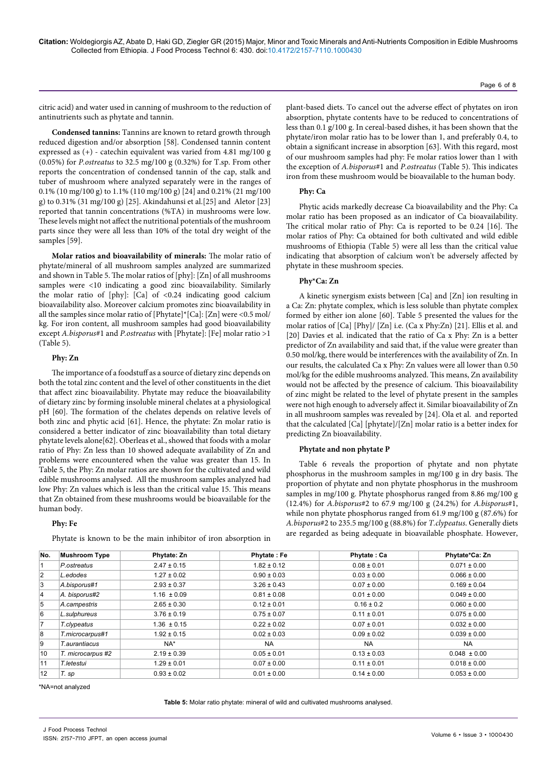citric acid) and water used in canning of mushroom to the reduction of antinutrients such as phytate and tannin.

**Condensed tannins:** Tannins are known to retard growth through reduced digestion and/or absorption [58]. Condensed tannin content expressed as (+) - catechin equivalent was varied from 4.81 mg/100 g (0.05%) for *P.ostreatus* to 32.5 mg/100 g (0.32%) for T.sp. From other reports the concentration of condensed tannin of the cap, stalk and tuber of mushroom where analyzed separately were in the ranges of 0.1% (10 mg/100 g) to 1.1% (110 mg/100 g) [24] and 0.21% (21 mg/100 g) to 0.31% (31 mg/100 g) [25]. Akindahunsi et al.[25] and Aletor [23] reported that tannin concentrations (%TA) in mushrooms were low. These levels might not affect the nutritional potentials of the mushroom parts since they were all less than 10% of the total dry weight of the samples [59].

**Molar ratios and bioavailability of minerals:** The molar ratio of phytate/mineral of all mushroom samples analyzed are summarized and shown in Table 5. The molar ratios of [phy]: [Zn] of all mushrooms samples were <10 indicating a good zinc bioavailability. Similarly the molar ratio of [phy]: [Ca] of <0.24 indicating good calcium bioavailability also. Moreover calcium promotes zinc bioavailability in all the samples since molar ratio of [Phytate]\*[Ca]: [Zn] were <0.5 mol/ kg. For iron content, all mushroom samples had good bioavailability except *A.bisporus*#1 and *P.ostreatus* with [Phytate]: [Fe] molar ratio >1 (Table 5).

#### **Phy: Zn**

The importance of a foodstuff as a source of dietary zinc depends on both the total zinc content and the level of other constituents in the diet that affect zinc bioavailability. Phytate may reduce the bioavailability of dietary zinc by forming insoluble mineral chelates at a physiological pH [60]. The formation of the chelates depends on relative levels of both zinc and phytic acid [61]. Hence, the phytate: Zn molar ratio is considered a better indicator of zinc bioavailability than total dietary phytate levels alone[62]. Oberleas et al., showed that foods with a molar ratio of Phy: Zn less than 10 showed adequate availability of Zn and problems were encountered when the value was greater than 15. In Table 5, the Phy: Zn molar ratios are shown for the cultivated and wild edible mushrooms analysed. All the mushroom samples analyzed had low Phy: Zn values which is less than the critical value 15. This means that Zn obtained from these mushrooms would be bioavailable for the human body.

#### **Phy: Fe**

Phytate is known to be the main inhibitor of iron absorption in

plant-based diets. To cancel out the adverse effect of phytates on iron absorption, phytate contents have to be reduced to concentrations of less than 0.1 g/100 g. In cereal-based dishes, it has been shown that the phytate/iron molar ratio has to be lower than 1, and preferably 0.4, to obtain a significant increase in absorption [63]. With this regard, most of our mushroom samples had phy: Fe molar ratios lower than 1 with the exception of *A.bisporus*#1 and *P.ostreatus* (Table 5). This indicates iron from these mushroom would be bioavailable to the human body.

#### **Phy: Ca**

Phytic acids markedly decrease Ca bioavailability and the Phy: Ca molar ratio has been proposed as an indicator of Ca bioavailability. The critical molar ratio of Phy: Ca is reported to be 0.24 [16]. The molar ratios of Phy: Ca obtained for both cultivated and wild edible mushrooms of Ethiopia (Table 5) were all less than the critical value indicating that absorption of calcium won't be adversely affected by phytate in these mushroom species.

#### **Phy\*Ca: Zn**

A kinetic synergism exists between [Ca] and [Zn] ion resulting in a Ca: Zn: phytate complex, which is less soluble than phytate complex formed by either ion alone [60]. Table 5 presented the values for the molar ratios of [Ca] [Phy]/ [Zn] i.e. (Ca x Phy:Zn) [21]. Ellis et al. and [20] Davies et al. indicated that the ratio of Ca x Phy: Zn is a better predictor of Zn availability and said that, if the value were greater than 0.50 mol/kg, there would be interferences with the availability of Zn. In our results, the calculated Ca x Phy: Zn values were all lower than 0.50 mol/kg for the edible mushrooms analyzed. This means, Zn availability would not be affected by the presence of calcium. This bioavailability of zinc might be related to the level of phytate present in the samples were not high enough to adversely affect it. Similar bioavailability of Zn in all mushroom samples was revealed by [24]. Ola et al. and reported that the calculated [Ca] [phytate]/[Zn] molar ratio is a better index for predicting Zn bioavailability.

#### **Phytate and non phytate P**

Table 6 reveals the proportion of phytate and non phytate phosphorus in the mushroom samples in mg/100 g in dry basis. The proportion of phytate and non phytate phosphorus in the mushroom samples in mg/100 g. Phytate phosphorus ranged from 8.86 mg/100 g (12.4%) for *A.bisporus*#2 to 67.9 mg/100 g (24.2%) for *A.bisporus*#1, while non phytate phosphorus ranged from 61.9 mg/100 g (87.6%) for *A.bisporus*#2 to 235.5 mg/100 g (88.8%) for *T.clypeatus*. Generally diets are regarded as being adequate in bioavailable phosphate. However,

| No.            | <b>Mushroom Type</b> | Phytate: Zn     | <b>Phytate: Fe</b> | <b>Phytate: Ca</b> | Phytate*Ca: Zn   |
|----------------|----------------------|-----------------|--------------------|--------------------|------------------|
|                | P.ostreatus          | $2.47 \pm 0.15$ | $1.82 \pm 0.12$    | $0.08 \pm 0.01$    | $0.071 \pm 0.00$ |
| $\overline{2}$ | L.edodes             | $1.27 \pm 0.02$ | $0.90 \pm 0.03$    | $0.03 \pm 0.00$    | $0.066 \pm 0.00$ |
| 3              | A.bisporus#1         | $2.93 \pm 0.37$ | $3.26 \pm 0.43$    | $0.07 \pm 0.00$    | $0.169 \pm 0.04$ |
| 14             | A. bisporus#2        | $1.16 \pm 0.09$ | $0.81 \pm 0.08$    | $0.01 \pm 0.00$    | $0.049 \pm 0.00$ |
| 5              | A.campestris         | $2.65 \pm 0.30$ | $0.12 \pm 0.01$    | $0.16 \pm 0.2$     | $0.060 \pm 0.00$ |
| <b>6</b>       | L.sulphureus         | $3.76 \pm 0.19$ | $0.75 \pm 0.07$    | $0.11 \pm 0.01$    | $0.075 \pm 0.00$ |
| $\overline{7}$ | T.clypeatus          | $1.36 \pm 0.15$ | $0.22 \pm 0.02$    | $0.07 \pm 0.01$    | $0.032 \pm 0.00$ |
| 8              | T.microcarpus#1      | $1.92 \pm 0.15$ | $0.02 \pm 0.03$    | $0.09 \pm 0.02$    | $0.039 \pm 0.00$ |
| 9              | T.aurantiacus        | $NA*$           | <b>NA</b>          | <b>NA</b>          | <b>NA</b>        |
| 10             | T. microcarpus #2    | $2.19 \pm 0.39$ | $0.05 \pm 0.01$    | $0.13 \pm 0.03$    | $0.048 \pm 0.00$ |
| 11             | T.letestui           | $1.29 \pm 0.01$ | $0.07 \pm 0.00$    | $0.11 \pm 0.01$    | $0.018 \pm 0.00$ |
| 12             | T. sp                | $0.93 \pm 0.02$ | $0.01 \pm 0.00$    | $0.14 \pm 0.00$    | $0.053 \pm 0.00$ |

\*NA=not analyzed

**Table 5:** Molar ratio phytate: mineral of wild and cultivated mushrooms analysed.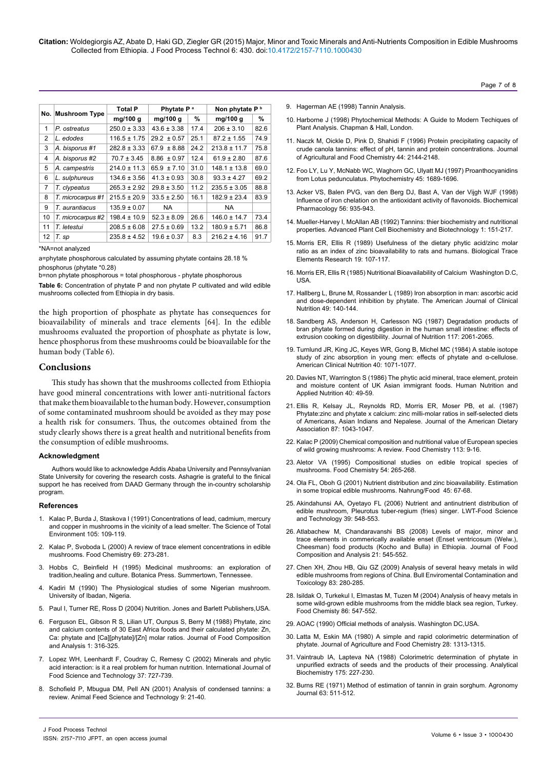**Citation:** Woldegiorgis AZ, Abate D, Haki GD, Ziegler GR (2015) Major, Minor and Toxic Minerals and Anti-Nutrients Composition in Edible Mushrooms Collected from Ethiopia. J Food Process Technol 6: 430. doi:10.4172/2157-7110.1000430

|                |                      | <b>Total P</b>   | Phytate P <sup>a</sup> |      | Non phytate P <sup>b</sup> |      |
|----------------|----------------------|------------------|------------------------|------|----------------------------|------|
| No.            | <b>Mushroom Type</b> | mg/100 g         | mg/100 g               | %    | mg/100 g                   | %    |
| 1              | P. ostreatus         | $250.0 \pm 3.33$ | $43.6 \pm 3.38$        | 17.4 | $206 \pm 3.10$             | 82.6 |
| 2              | L. edodes            | $116.5 \pm 1.75$ | $29.2 \pm 0.57$        | 25.1 | $87.2 \pm 1.55$            | 74.9 |
| 3              | A. bisporus #1       | $282.8 \pm 3.33$ | $67.9 \pm 8.88$        | 24.2 | $213.8 \pm 11.7$           | 75.8 |
| 4              | A. bisporus #2       | $70.7 \pm 3.45$  | $8.86 \pm 0.97$        | 12.4 | $61.9 \pm 2.80$            | 87.6 |
| 5              | A. campestris        | $214.0 \pm 11.3$ | $65.9 \pm 7.10$        | 31.0 | $148.1 \pm 13.8$           | 69.0 |
| 6              | L. sulphureus        | $134.6 \pm 3.56$ | $41.3 \pm 0.93$        | 30.8 | $93.3 \pm 4.27$            | 69.2 |
| $\overline{7}$ | T. clypeatus         | $265.3 \pm 2.92$ | $29.8 \pm 3.50$        | 11.2 | $235.5 \pm 3.05$           | 88.8 |
| 8              | T. microcarpus #1    | $215.5 \pm 20.9$ | $33.5 \pm 2.50$        | 16.1 | $182.9 \pm 23.4$           | 83.9 |
| 9              | T. aurantiacus       | $135.9 \pm 0.07$ | <b>NA</b>              |      | NA.                        |      |
| 10             | T. microcarpus #2    | $198.4 \pm 10.9$ | $52.3 \pm 8.09$        | 26.6 | $146.0 \pm 14.7$           | 73.4 |
| 11             | T. letestui          | $208.5 \pm 6.08$ | $27.5 \pm 0.69$        | 13.2 | $180.9 \pm 5.71$           | 86.8 |
| 12             | T. sp                | $235.8 \pm 4.52$ | $19.6 \pm 0.37$        | 8.3  | $216.2 \pm 4.16$           | 91.7 |

\*NA=not analyzed

a=phytate phosphorous calculated by assuming phytate contains 28.18 % phosphorus (phytate \*0.28)

b=non phytate phosphorous = total phosphorous - phytate phosphorous

**Table 6:** Concentration of phytate P and non phytate P cultivated and wild edible mushrooms collected from Ethiopia in dry basis.

the high proportion of phosphate as phytate has consequences for bioavailability of minerals and trace elements [64]. In the edible mushrooms evaluated the proportion of phosphate as phytate is low, hence phosphorus from these mushrooms could be bioavailable for the human body (Table 6).

## **Conclusions**

This study has shown that the mushrooms collected from Ethiopia have good mineral concentrations with lower anti-nutritional factors that make them bioavailable to the human body. However, consumption of some contaminated mushroom should be avoided as they may pose a health risk for consumers. Thus, the outcomes obtained from the study clearly shows there is a great health and nutritional benefits from the consumption of edible mushrooms.

#### **Acknowledgment**

Authors would like to acknowledge Addis Ababa University and Pennsylvanian State University for covering the research costs. Ashagrie is grateful to the finical support he has received from DAAD Germany through the in-country scholarship program.

#### **References**

- 1. [Kalac P, Burda J, Staskova I \(1991\) Concentrations of lead, cadmium, mercury](http://www.sciencedirect.com/science/article/pii/004896979190333A) [and copper in mushrooms in the vicinity of a lead smelter. The Science of Total](http://www.sciencedirect.com/science/article/pii/004896979190333A) [Environment 105: 109-119.](http://www.sciencedirect.com/science/article/pii/004896979190333A)
- 2. [Kalac P, Svoboda L \(2000\) A review of trace element concentrations in edible](http://www.sciencedirect.com/science/article/pii/S0308814699002642) [mushrooms. Food Chemistry 69: 273-281.](http://www.sciencedirect.com/science/article/pii/S0308814699002642)
- 3. Hobbs C, Beinfield H [\(1995\) Medicinal mushrooms: an exploration of](http://www.goodreads.com/book/show/415975.Medicinal_Mushrooms) [tradition,healing and culture. Botanica Press. Summertown, Tennessee.](http://www.goodreads.com/book/show/415975.Medicinal_Mushrooms)
- 4. Kadiri M (1990) The Physiological studies of some Nigerian mushroom. University of Ibadan, Nigeria.
- 5. [Paul I, Turner RE, Ross D \(2004\) Nutrition. Jones and Barlett Publishers,USA.](http://books.google.co.in/books/about/Nutrition.html?id=46o0PzPI07YC)
- 6. [Ferguson EL, Gibson R S, Lilian UT, Ounpus S, Berry M \(1988\) Phytate, zinc](http://www.sciencedirect.com/science/article/pii/0889157588900312) [and calcium contents of 30 East Africa foods and their calculated phytate: Zn,](http://www.sciencedirect.com/science/article/pii/0889157588900312) [Ca: phytate and \[Ca\]\[phytate\]/\[Zn\] molar ratios. Journal of Food Composition](http://www.sciencedirect.com/science/article/pii/0889157588900312) [and Analysis 1: 316-325.](http://www.sciencedirect.com/science/article/pii/0889157588900312)
- 7. [Lopez WH, Leenhardt F, Coudray C, Remesy C \(2002\) Minerals and phytic](http://onlinelibrary.wiley.com/doi/10.1046/j.1365-2621.2002.00618.x/abstract;jsessionid=554957BFFCADC0DDF30EE4D5A4E972C7.f02t04?deniedAccessCustomisedMessage=&userIsAuthenticated=false) [acid interaction: is it a real problem for human nutrition. International Journal of](http://onlinelibrary.wiley.com/doi/10.1046/j.1365-2621.2002.00618.x/abstract;jsessionid=554957BFFCADC0DDF30EE4D5A4E972C7.f02t04?deniedAccessCustomisedMessage=&userIsAuthenticated=false) [Food Science and Technology 37: 727-739.](http://onlinelibrary.wiley.com/doi/10.1046/j.1365-2621.2002.00618.x/abstract;jsessionid=554957BFFCADC0DDF30EE4D5A4E972C7.f02t04?deniedAccessCustomisedMessage=&userIsAuthenticated=false)
- 8. [Schofield P, Mbugua DM, Pell AN \(2001\) Analysis of condensed tannins: a](http://www.sciencedirect.com/science/article/pii/S0377840101002280) [review. Animal Feed Science and Technology 9: 21-40.](http://www.sciencedirect.com/science/article/pii/S0377840101002280)
- 9. [Hagerman AE \(1998\) Tannin Analysis.](http://www.users.miamioh.edu/hagermae/)
- 10. [Harborne J \(1998\) Phytochemical Methods: A Guide to Modern Techiques of](http://trove.nla.gov.au/work/9080354?q&versionId=45450216)  [Plant Analysis. Chapman & Hall, London.](http://trove.nla.gov.au/work/9080354?q&versionId=45450216)
- 11. [Naczk M, Oickle D, Pink D, Shahidi F \(1996\) Protein precipitating capacity of](http://pubs.acs.org/doi/abs/10.1021/jf960165k)  [crude canola tannins: effect of pH, tannin and protein concentrations. Journal](http://pubs.acs.org/doi/abs/10.1021/jf960165k)  [of Agricultural and Food Chemistry 44: 2144-2148.](http://pubs.acs.org/doi/abs/10.1021/jf960165k)
- 12. [Foo LY, Lu Y, McNabb WC, Waghorn GC, Ulyatt MJ \(1997\) Proanthocyanidins](http://www.sciencedirect.com/science/article/pii/S0031942297001982)  [from Lotus pedunculatus. Phytochemistry 45:](http://www.sciencedirect.com/science/article/pii/S0031942297001982) 1689-1696.
- 13. [Acker VS, Balen PVG, van den Berg DJ, Bast A, Van der Vijgh WJF \(1998\)](http://www.sciencedirect.com/science/article/pii/S0006295298001026)  [Influence of iron chelation on the antioxidant activity of flavonoids. Biochemical](http://www.sciencedirect.com/science/article/pii/S0006295298001026)  [Pharmacology 56: 935-943.](http://www.sciencedirect.com/science/article/pii/S0006295298001026)
- 14. Mueller-Harvey I, McAllan AB (1992) Tannins: thier biochemistry and nutritional properties. Advanced Plant Cell Biochemistry and Biotechnology 1: 151-217.
- 15. [Morris ER, Ellis R \(1989\) Usefulness of the dietary phytic acid/zinc molar](http://link.springer.com/article/10.1007/BF02925452)  [ratio as an index of zinc bioavailability to rats and humans. Biological Trace](http://link.springer.com/article/10.1007/BF02925452)  [Elements Research 19: 107-117.](http://link.springer.com/article/10.1007/BF02925452)
- 16. Morris ER, Ellis R (1985) Nutritional Bioavailability of Calcium Washington D.C, USA.
- 17. [Hallberg L, Brune M, Rossander L \(1989\) Iron absorption in man: ascorbic acid](http://ajcn.nutrition.org/content/49/1/140.short)  [and dose-dependent inhibition by phytate. The American Journal of Clinical](http://ajcn.nutrition.org/content/49/1/140.short)  [Nutrition 49: 140-144.](http://ajcn.nutrition.org/content/49/1/140.short)
- 18. [Sandberg AS, Anderson H, Carlesson NG \(1987\) Degradation products of](http://www.researchgate.net/profile/Nils-gunnar_Carlsson/publication/20328972_Degradation_products_of_bran_phytate_formed_during_digestion_in_the_human_small_intestine_effect_of_extrusion_cooking_on_digestibility/links/5416fda80cf2788c4b35fabd.pdf)  [bran phytate formed during digestion in the human small intestine: effects of](http://www.researchgate.net/profile/Nils-gunnar_Carlsson/publication/20328972_Degradation_products_of_bran_phytate_formed_during_digestion_in_the_human_small_intestine_effect_of_extrusion_cooking_on_digestibility/links/5416fda80cf2788c4b35fabd.pdf)  [extrusion cooking on digestibility. Journal of Nutrition 117: 2061-2065.](http://www.researchgate.net/profile/Nils-gunnar_Carlsson/publication/20328972_Degradation_products_of_bran_phytate_formed_during_digestion_in_the_human_small_intestine_effect_of_extrusion_cooking_on_digestibility/links/5416fda80cf2788c4b35fabd.pdf)
- 19. [Turnlund JR, King JC, Keyes WR, Gong B, Michel MC \(1984\) A stable isotope](http://www.ncbi.nlm.nih.gov/pubmed/6496386)  [study of zinc absorption in young men: effects of phytate and α-cellulose.](http://www.ncbi.nlm.nih.gov/pubmed/6496386)  [American Clinical Nutrition 40: 1071-1077.](http://www.ncbi.nlm.nih.gov/pubmed/6496386)
- 20. [Davies NT, Warrington S \(1986\) The phytic acid mineral, trace element, protein](http://europepmc.org/abstract/med/3957703)  [and moisture content of UK Asian immigrant foods. Human Nutrition and](http://europepmc.org/abstract/med/3957703)  [Applied Nutrition 40: 49-59.](http://europepmc.org/abstract/med/3957703)
- 21. [Ellis R, Kelsay JL, Reynolds RD, Morris ER, Moser PB, et al. \(1987\)](http://www.ncbi.nlm.nih.gov/pubmed/3611550)  [Phytate:zinc and phytate x calcium: zinc milli-molar ratios in self-selected diets](http://www.ncbi.nlm.nih.gov/pubmed/3611550)  [of Americans, Asian Indians and Nepalese. Journal of the American Dietary](http://www.ncbi.nlm.nih.gov/pubmed/3611550)  [Association 87: 1043-1047.](http://www.ncbi.nlm.nih.gov/pubmed/3611550)
- 22. [Kalac P \(2009\) Chemical composition and nutritional value of European species](http://www.sciencedirect.com/science/article/pii/S0308814608009229)  [of wild growing mushrooms: A review. Food Chemistry 113: 9-16.](http://www.sciencedirect.com/science/article/pii/S0308814608009229)
- 23. [Aletor VA \(1995\) Compositional studies on edible tropical species of](http://www.sciencedirect.com/science/article/pii/030881469500044J)  [mushrooms. Food Chemistry 54: 265-268.](http://www.sciencedirect.com/science/article/pii/030881469500044J)
- 24. [Ola FL, Oboh G \(2001\) Nutrient distribution and zinc bioavailability. Estimation](http://onlinelibrary.wiley.com/doi/10.1002/1521-3803%2820010101%2945:1%3C67::AID-FOOD67%3E3.0.CO;2-C/abstract)  [in some tropical edible mushrooms. Nahrung/Food 45: 67-68.](http://onlinelibrary.wiley.com/doi/10.1002/1521-3803%2820010101%2945:1%3C67::AID-FOOD67%3E3.0.CO;2-C/abstract)
- 25. [Akindahunsi AA, Oyetayo FL \(2006\) Nutrient and antinutrient distribution of](http://www.sciencedirect.com/science/article/pii/S0023643805000812)  [edible mushroom, Pleurotus tuber-regium \(fries\) singer. LWT-Food Science](http://www.sciencedirect.com/science/article/pii/S0023643805000812)  [and Technology 39: 548-553.](http://www.sciencedirect.com/science/article/pii/S0023643805000812)
- 26. [Atlabachew M, Chandaravanshi BS \(2008\) Levels of major, minor and](http://www.sciencedirect.com/science/article/pii/S0889157508000744)  [trace elements in commerically available enset \(Enset ventricosum \(Welw.\),](http://www.sciencedirect.com/science/article/pii/S0889157508000744)  [Cheesman\) food products \(Kocho and Bulla\) in Ethiopia. Journal of Food](http://www.sciencedirect.com/science/article/pii/S0889157508000744)  [Composition and Analysis 21: 545-552.](http://www.sciencedirect.com/science/article/pii/S0889157508000744)
- 27. [Chen XH, Zhou HB, Qiu GZ \(2009\) Analysis of several heavy metals in wild](http://link.springer.com/article/10.1007/s00128-009-9767-8)  [edible mushrooms from regions of China. Bull Enviromental Contamination and](http://link.springer.com/article/10.1007/s00128-009-9767-8)  [Toxicology 83: 280-285.](http://link.springer.com/article/10.1007/s00128-009-9767-8)
- 28. [Isildak O, Turkekul I, Elmastas M, Tuzen M \(2004\) Analysis of heavy metals in](http://www.sciencedirect.com/science/article/pii/S0308814603005223)  [some wild-grown edible mushrooms from the middle black sea region, Turkey.](http://www.sciencedirect.com/science/article/pii/S0308814603005223)  [Food Chemisty 86: 547-552.](http://www.sciencedirect.com/science/article/pii/S0308814603005223)
- 29. [AOAC \(1990\) Official methods of analysis. Washington DC,USA](http://www.aoac.org/imis15_prod/AOAC/Publications/Official_Methods_of_Analysis/AOAC_Member/Pubs/OMA/AOAC_Official_Methods_of_Analysis.aspx?hkey=5142c478-ab50-4856-8939-a7a491756f48).
- 30. [Latta M, Eskin MA \(1980\) A simple and rapid colorimetric determination of](http://pubs.acs.org/doi/abs/10.1021/jf60232a049)  [phytate. Journal of Agriculture and Food Chemistry 28: 1313-1315.](http://pubs.acs.org/doi/abs/10.1021/jf60232a049)
- 31. [Vaintraub IA, Lapteva NA \(1988\) Colorimetric determination of phytate in](http://www.sciencedirect.com/science/article/pii/000326978890382X)  [unpurified extracts of seeds and the products of their processing. Analytical](http://www.sciencedirect.com/science/article/pii/000326978890382X)  [Biochemistry 175: 227-230.](http://www.sciencedirect.com/science/article/pii/000326978890382X)
- 32. Burns RE (1971) Method of estimation of tannin in grain sorghum. Agronomy Journal 63: 511-512.